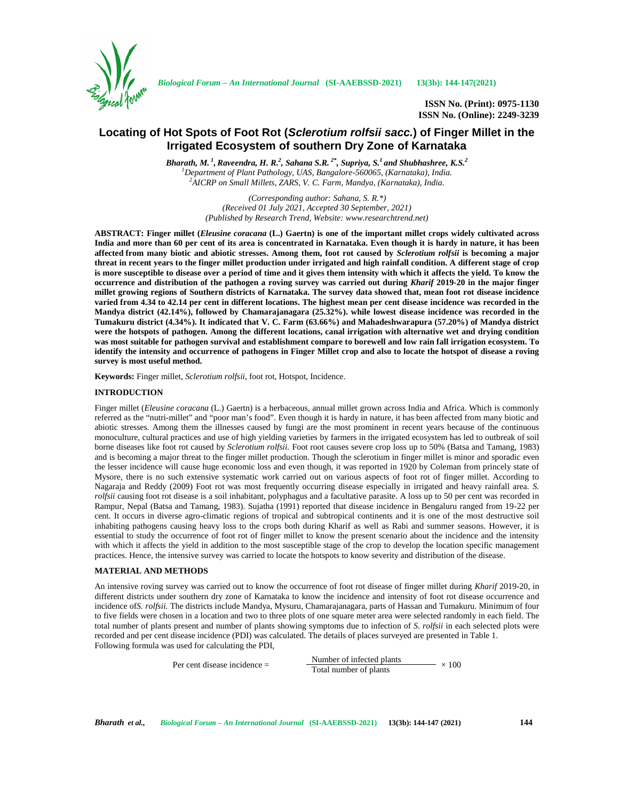

*Biological Forum – An International Journal* **(SI-AAEBSSD-2021) 13(3b): 144-147(2021)**

**ISSN No. (Print): 0975-1130 ISSN No. (Online): 2249-3239**

# **Locating of Hot Spots of Foot Rot (***Sclerotium rolfsii sacc.***) of Finger Millet in the Irrigated Ecosystem of southern Dry Zone of Karnataka**

*Bharath, M.*<sup>1</sup>, Raveendra, H. R.<sup>2</sup>, Sahana S.R.<sup>2\*</sup>, Supriya, S.<sup>1</sup> and Shubhashree, K.S.<sup>2</sup> *<sup>1</sup>Department of Plant Pathology, UAS, Bangalore-560065, (Karnataka), India. <sup>2</sup>AICRP on Small Millets, ZARS, V. C. Farm, Mandya, (Karnataka), India.*

> *(Corresponding author: Sahana, S. R.\*) (Received 01 July 2021, Accepted 30 September, 2021) (Published by Research Trend, Website: <www.researchtrend.net>)*

**ABSTRACT: Finger millet (***Eleusine coracana* **(L.) Gaertn) is one of the important millet crops widely cultivated across India and more than 60 per cent of its area is concentrated in Karnataka. Even though it is hardy in nature, it has been affected from many biotic and abiotic stresses. Among them, foot rot caused by** *Sclerotium rolfsii* **is becoming a major threat in recent years to the finger millet production under irrigated and high rainfall condition. A different stage of crop is more susceptible to disease over a period of time and it gives them intensity with which it affects the yield. To know the occurrence and distribution of the pathogen a roving survey was carried out during** *Kharif* **2019-20 in the major finger millet growing regions of Southern districts of Karnataka. The survey data showed that, mean foot rot disease incidence varied from 4.34 to 42.14 per cent in different locations. The highest mean per cent disease incidence was recorded in the Mandya district (42.14%), followed by Chamarajanagara (25.32%). while lowest disease incidence was recorded in the Tumakuru district (4.34%). It indicated that V. C. Farm (63.66%) and Mahadeshwarapura (57.20%) of Mandya district were the hotspots of pathogen. Among the different locations, canal irrigation with alternative wet and drying condition was most suitable for pathogen survival and establishment compare to borewell and low rain fall irrigation ecosystem. To identify the intensity and occurrence of pathogens in Finger Millet crop and also to locate the hotspot of disease a roving survey is most useful method.**

**Keywords:** Finger millet, *Sclerotium rolfsii*, foot rot, Hotspot, Incidence.

# **INTRODUCTION**

Finger millet (*Eleusine coracana* (L.) Gaertn) is a herbaceous, annual millet grown across India and Africa. Which is commonly referred as the "nutri-millet" and "poor man's food". Even though it is hardy in nature, it has been affected from many biotic and abiotic stresses. Among them the illnesses caused by fungi are the most prominent in recent years because of the continuous monoculture, cultural practices and use of high yielding varieties by farmers in the irrigated ecosystem has led to outbreak of soil borne diseases like foot rot caused by *Sclerotium rolfsii.* Foot root causes severe crop loss up to 50% (Batsa and Tamang, 1983) and is becoming a major threat to the finger millet production. Though the sclerotium in finger millet is minor and sporadic even the lesser incidence will cause huge economic loss and even though, it was reported in 1920 by Coleman from princely state of Mysore, there is no such extensive systematic work carried out on various aspects of foot rot of finger millet. According to Nagaraja and Reddy (2009) Foot rot was most frequently occurring disease especially in irrigated and heavy rainfall area. *S. rolfsii* causing foot rot disease is a soil inhabitant, polyphagus and a facultative parasite. A loss up to 50 per cent was recorded in Rampur, Nepal (Batsa and Tamang, 1983). Sujatha (1991) reported that disease incidence in Bengaluru ranged from 19-22 per cent. It occurs in diverse agro-climatic regions of tropical and subtropical continents and it is one of the most destructive soil inhabiting pathogens causing heavy loss to the crops both during Kharif as well as Rabi and summer seasons. However, it is essential to study the occurrence of foot rot of finger millet to know the present scenario about the incidence and the intensity with which it affects the yield in addition to the most susceptible stage of the crop to develop the location specific management practices. Hence, the intensive survey was carried to locate the hotspots to know severity and distribution of the disease.

# **MATERIAL AND METHODS**

An intensive roving survey was carried out to know the occurrence of foot rot disease of finger millet during *Kharif* 2019-20, in different districts under southern dry zone of Karnataka to know the incidence and intensity of foot rot disease occurrence and incidence of*S. rolfsii.* The districts include Mandya, Mysuru, Chamarajanagara, parts of Hassan and Tumakuru. Minimum of four to five fields were chosen in a location and two to three plots of one square meter area were selected randomly in each field. The total number of plants present and number of plants showing symptoms due to infection of *S. rolfsii* in each selected plots were recorded and per cent disease incidence (PDI) was calculated. The details of places surveyed are presented in Table 1. Following formula was used for calculating the PDI,

| Per cent disease incidence $=$ | Number of infected plants | $\times$ 100 |
|--------------------------------|---------------------------|--------------|
|                                | Total number of plants    |              |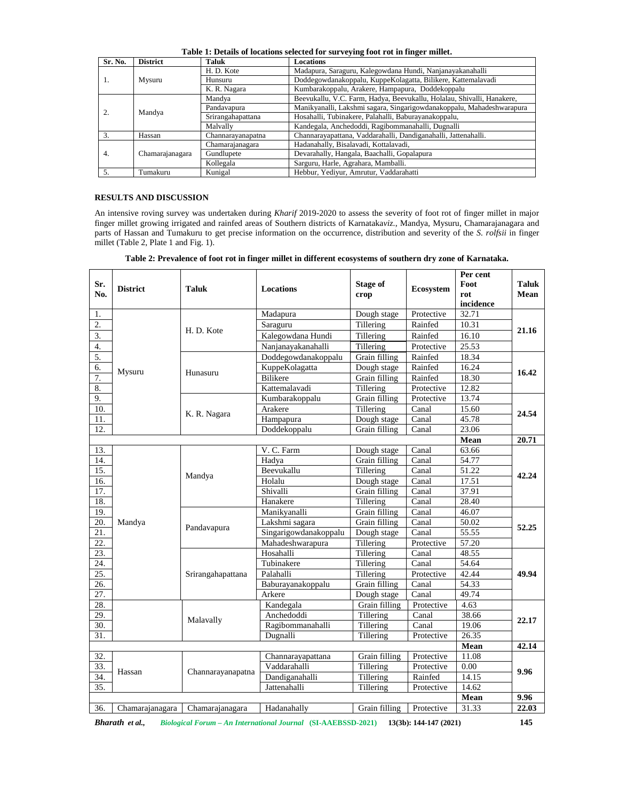| Sr. No. | <b>District</b> | Taluk             | <b>Locations</b>                                                       |  |  |
|---------|-----------------|-------------------|------------------------------------------------------------------------|--|--|
|         |                 | H. D. Kote        | Madapura, Saraguru, Kalegowdana Hundi, Nanjanayakanahalli              |  |  |
| 1.      | Mysuru          | Hunsuru           | Doddegowdanakoppalu, KuppeKolagatta, Bilikere, Kattemalavadi           |  |  |
|         |                 | K. R. Nagara      | Kumbarakoppalu, Arakere, Hampapura, Doddekoppalu                       |  |  |
|         |                 | Mandva            | Beevukallu, V.C. Farm, Hadya, Beevukallu, Holalau, Shivalli, Hanakere, |  |  |
|         | Mandya          | Pandavapura       | Manikyanalli, Lakshmi sagara, Singarigowdanakoppalu, Mahadeshwarapura  |  |  |
|         |                 | Srirangahapattana | Hosahalli, Tubinakere, Palahalli, Baburayanakoppalu,                   |  |  |
|         |                 | Malvally          | Kandegala, Anchedoddi, Ragibommanahalli, Dugnalli                      |  |  |
|         | Hassan          | Channarayanapatna | Channarayapattana, Vaddarahalli, Dandiganahalli, Jattenahalli.         |  |  |
|         |                 | Chamarajanagara   | Hadanahally, Bisalavadi, Kottalavadi,                                  |  |  |
| 4.      | Chamarajanagara | Gundlupete        | Devarahally, Hangala, Baachalli, Gopalapura                            |  |  |
|         |                 | Kollegala         | Sarguru, Harle, Agrahara, Mamballi.                                    |  |  |
|         | Tumakuru        | Kunigal           | Hebbur, Yediyur, Amrutur, Vaddarahatti                                 |  |  |

**Table 1: Details of locations selected for surveying foot rot in finger millet.**

# **RESULTS AND DISCUSSION**

An intensive roving survey was undertaken during *Kharif* 2019-2020 to assess the severity of foot rot of finger millet in major finger millet growing irrigated and rainfed areas of Southern districts of Karnataka*viz.*, Mandya, Mysuru, Chamarajanagara and parts of Hassan and Tumakuru to get precise information on the occurrence, distribution and severity of the *S. rolfsii* in finger millet (Table 2, Plate 1 and Fig. 1).

| Table 2: Prevalence of foot rot in finger millet in different ecosystems of southern dry zone of Karnataka. |  |  |
|-------------------------------------------------------------------------------------------------------------|--|--|
|-------------------------------------------------------------------------------------------------------------|--|--|

| Sr.<br>No. | <b>District</b> | <b>Taluk</b>      | <b>Locations</b>      | <b>Stage of</b><br>crop | Ecosystem  | Per cent<br>Foot<br>rot<br>incidence | <b>Taluk</b><br>Mean |
|------------|-----------------|-------------------|-----------------------|-------------------------|------------|--------------------------------------|----------------------|
| 1.         |                 |                   | Madapura              | Dough stage             | Protective | 32.71                                |                      |
| 2.         |                 | H. D. Kote        | Saraguru              | Tillering               | Rainfed    | 10.31                                |                      |
| 3.         |                 |                   | Kalegowdana Hundi     | Tillering               | Rainfed    | 16.10                                | 21.16                |
| 4.         |                 |                   | Nanjanayakanahalli    | Tillering               | Protective | 25.53                                |                      |
| 5.         |                 |                   | Doddegowdanakoppalu   | Grain filling           | Rainfed    | 18.34                                |                      |
| 6.         |                 |                   | KuppeKolagatta        | Dough stage             | Rainfed    | 16.24                                |                      |
| 7.         | Mysuru          | Hunasuru          | <b>Bilikere</b>       | Grain filling           | Rainfed    | 18.30                                | 16.42                |
| 8.         |                 |                   | Kattemalavadi         | Tillering               | Protective | 12.82                                |                      |
| 9.         |                 |                   | Kumbarakoppalu        | Grain filling           | Protective | 13.74                                |                      |
| 10.        |                 |                   | Arakere               | Tillering               | Canal      | 15.60                                |                      |
| 11.        |                 | K. R. Nagara      | Hampapura             | Dough stage             | Canal      | 45.78                                | 24.54                |
| 12.        |                 |                   | Doddekoppalu          | Grain filling           | Canal      | 23.06                                |                      |
|            |                 |                   |                       |                         |            | Mean                                 | 20.71                |
| 13.        |                 |                   | V. C. Farm            | Dough stage             | Canal      | 63.66                                |                      |
| 14.        |                 |                   | Hadya                 | Grain filling           | Canal      | 54.77                                |                      |
| 15.        |                 |                   | Beevukallu            | Tillering               | Canal      | 51.22                                |                      |
| 16.        |                 | Mandya            | Holalu                | Dough stage             | Canal      | 17.51                                | 42.24                |
| 17.        |                 |                   | Shivalli              | Grain filling           | Canal      | 37.91                                |                      |
| 18.        |                 |                   | Hanakere              | Tillering               | Canal      | 28.40                                |                      |
| 19.        |                 |                   | Manikyanalli          | Grain filling           | Canal      | 46.07                                |                      |
| 20.        | Mandya          |                   | Lakshmi sagara        | Grain filling           | Canal      | 50.02                                |                      |
| 21.        |                 | Pandavapura       | Singarigowdanakoppalu | Dough stage             | Canal      | 55.55                                | 52.25                |
| 22.        |                 |                   | Mahadeshwarapura      | Tillering               | Protective | 57.20                                |                      |
| 23.        |                 |                   | Hosahalli             | Tillering               | Canal      | 48.55                                |                      |
| 24.        |                 |                   | Tubinakere            | Tillering               | Canal      | 54.64                                |                      |
| 25.        |                 | Srirangahapattana | Palahalli             | Tillering               | Protective | 42.44                                | 49.94                |
| 26.        |                 |                   | Baburayanakoppalu     | Grain filling           | Canal      | 54.33                                |                      |
| 27.        |                 |                   | Arkere                | Dough stage             | Canal      | 49.74                                |                      |
| 28.        |                 |                   | Kandegala             | Grain filling           | Protective | 4.63                                 |                      |
| 29.        |                 |                   | Anchedoddi            | Tillering               | Canal      | 38.66                                |                      |
| 30.        |                 | Malavally         | Ragibommanahalli      | Tillering               | Canal      | 19.06                                | 22.17                |
| 31.        |                 |                   | Dugnalli              | Tillering               | Protective | 26.35                                |                      |
|            |                 |                   |                       |                         |            | Mean                                 | 42.14                |
| 32.        |                 |                   | Channarayapattana     | Grain filling           | Protective | 11.08                                |                      |
| 33.        |                 |                   | Vaddarahalli          | Tillering               | Protective | $0.00\,$                             |                      |
| 34.        | Hassan          | Channarayanapatna | Dandiganahalli        | Tillering               | Rainfed    | 14.15                                | 9.96                 |
| 35.        |                 |                   | Jattenahalli          | Tillering               | Protective | 14.62                                |                      |
|            |                 |                   |                       |                         |            | Mean                                 | 9.96                 |
| 36.        | Chamarajanagara | Chamarajanagara   | Hadanahally           | Grain filling           | Protective | 31.33                                | 22.03                |

*Bharath et al., Biological Forum – An International Journal* **(SI-AAEBSSD-2021) 13(3b): 144-147 (2021) 145**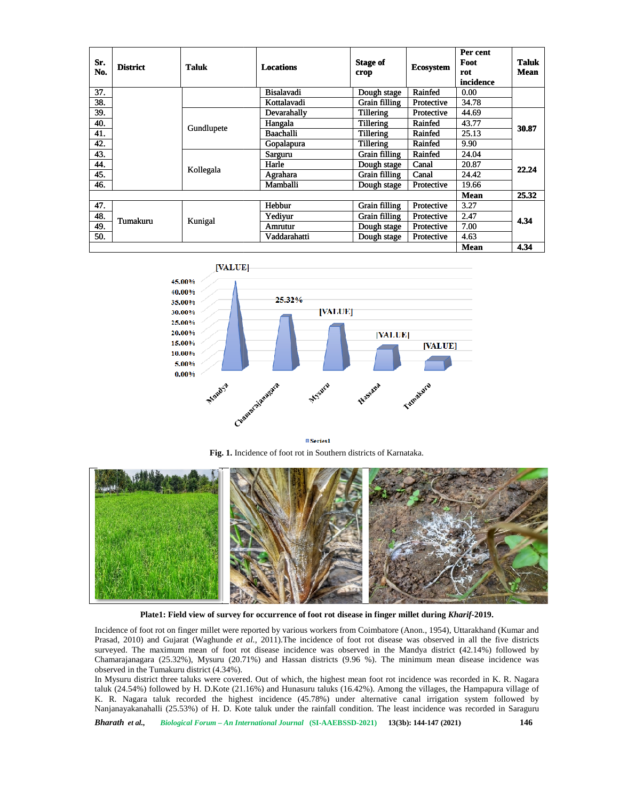| Sr.<br>No.                                                                                                                                                                                                                                                                                                                                                                                                                                                                                                                                                                                                                                                                                                                                                                                                                                                                                                                                                                                                                                                                                                                                                                         | <b>District</b> | <b>Taluk</b>                                    | <b>Locations</b>         | <b>Stage of</b><br>crop      | <b>Ecosystem</b> | Per cent<br>Foot<br>rot<br>incidence | <b>Taluk</b><br><b>Mean</b> |
|------------------------------------------------------------------------------------------------------------------------------------------------------------------------------------------------------------------------------------------------------------------------------------------------------------------------------------------------------------------------------------------------------------------------------------------------------------------------------------------------------------------------------------------------------------------------------------------------------------------------------------------------------------------------------------------------------------------------------------------------------------------------------------------------------------------------------------------------------------------------------------------------------------------------------------------------------------------------------------------------------------------------------------------------------------------------------------------------------------------------------------------------------------------------------------|-----------------|-------------------------------------------------|--------------------------|------------------------------|------------------|--------------------------------------|-----------------------------|
| 37.                                                                                                                                                                                                                                                                                                                                                                                                                                                                                                                                                                                                                                                                                                                                                                                                                                                                                                                                                                                                                                                                                                                                                                                |                 |                                                 | <b>Bisalavadi</b>        | Dough stage                  | Rainfed          | 0.00                                 |                             |
| 38.                                                                                                                                                                                                                                                                                                                                                                                                                                                                                                                                                                                                                                                                                                                                                                                                                                                                                                                                                                                                                                                                                                                                                                                |                 |                                                 | Kottalavadi              | Grain filling                | Protective       | 34.78                                |                             |
| 39.                                                                                                                                                                                                                                                                                                                                                                                                                                                                                                                                                                                                                                                                                                                                                                                                                                                                                                                                                                                                                                                                                                                                                                                |                 |                                                 | Devarahally              | <b>Tillering</b>             | Protective       | 44.69                                |                             |
| 40.                                                                                                                                                                                                                                                                                                                                                                                                                                                                                                                                                                                                                                                                                                                                                                                                                                                                                                                                                                                                                                                                                                                                                                                |                 | Gundlupete                                      | Hangala                  | Tillering                    | Rainfed          | 43.77                                | 30.87                       |
| 41.                                                                                                                                                                                                                                                                                                                                                                                                                                                                                                                                                                                                                                                                                                                                                                                                                                                                                                                                                                                                                                                                                                                                                                                |                 |                                                 | Baachalli                | Tillering                    | Rainfed          | 25.13                                |                             |
| 42.                                                                                                                                                                                                                                                                                                                                                                                                                                                                                                                                                                                                                                                                                                                                                                                                                                                                                                                                                                                                                                                                                                                                                                                |                 |                                                 | Gopalapura               | Tillering                    | Rainfed          | 9.90                                 |                             |
| 43.<br>44.                                                                                                                                                                                                                                                                                                                                                                                                                                                                                                                                                                                                                                                                                                                                                                                                                                                                                                                                                                                                                                                                                                                                                                         |                 |                                                 | Sarguru<br>Harle         | Grain filling<br>Dough stage | Rainfed<br>Canal | 24.04<br>20.87                       |                             |
| 45.                                                                                                                                                                                                                                                                                                                                                                                                                                                                                                                                                                                                                                                                                                                                                                                                                                                                                                                                                                                                                                                                                                                                                                                |                 | Kollegala                                       | Agrahara                 | <b>Grain filling</b>         | Canal            | 24.42                                | 22.24                       |
| 46.                                                                                                                                                                                                                                                                                                                                                                                                                                                                                                                                                                                                                                                                                                                                                                                                                                                                                                                                                                                                                                                                                                                                                                                |                 |                                                 | Mamballi                 | Dough stage                  | Protective       | 19.66                                |                             |
|                                                                                                                                                                                                                                                                                                                                                                                                                                                                                                                                                                                                                                                                                                                                                                                                                                                                                                                                                                                                                                                                                                                                                                                    |                 |                                                 |                          |                              |                  | <b>Mean</b>                          | 25.32                       |
| 47.                                                                                                                                                                                                                                                                                                                                                                                                                                                                                                                                                                                                                                                                                                                                                                                                                                                                                                                                                                                                                                                                                                                                                                                |                 |                                                 | Hebbur                   | <b>Grain filling</b>         | Protective       | 3.27                                 |                             |
| 48.                                                                                                                                                                                                                                                                                                                                                                                                                                                                                                                                                                                                                                                                                                                                                                                                                                                                                                                                                                                                                                                                                                                                                                                |                 |                                                 | Yediyur                  | <b>Grain filling</b>         | Protective       | 2.47                                 |                             |
| 49.                                                                                                                                                                                                                                                                                                                                                                                                                                                                                                                                                                                                                                                                                                                                                                                                                                                                                                                                                                                                                                                                                                                                                                                | Tumakuru        | Kunigal                                         | Amrutur                  | Dough stage                  | Protective       | 7.00                                 | 4.34                        |
| 50.                                                                                                                                                                                                                                                                                                                                                                                                                                                                                                                                                                                                                                                                                                                                                                                                                                                                                                                                                                                                                                                                                                                                                                                |                 |                                                 | Vaddarahatti             | Dough stage                  | Protective       | 4.63                                 |                             |
|                                                                                                                                                                                                                                                                                                                                                                                                                                                                                                                                                                                                                                                                                                                                                                                                                                                                                                                                                                                                                                                                                                                                                                                    |                 |                                                 |                          |                              |                  | <b>Mean</b>                          | 4.34                        |
|                                                                                                                                                                                                                                                                                                                                                                                                                                                                                                                                                                                                                                                                                                                                                                                                                                                                                                                                                                                                                                                                                                                                                                                    |                 | [VALUE]<br>45.00%<br>40.00%<br>35.00%<br>30.00% | 25.32%<br><b>[VALUE]</b> |                              |                  |                                      |                             |
| 25.00%<br>20.00%<br>[VALUE]<br>15.00%<br>[VALUE]<br>10.00%<br>5.00%<br>0.00%<br><b>Mysuru</b><br>Mandy's<br><b>Hassans</b>                                                                                                                                                                                                                                                                                                                                                                                                                                                                                                                                                                                                                                                                                                                                                                                                                                                                                                                                                                                                                                                         |                 |                                                 |                          |                              |                  |                                      |                             |
| Cumumniyanagara<br><b>ESeries1</b><br>Fig. 1. Incidence of foot rot in Southern districts of Karnataka.                                                                                                                                                                                                                                                                                                                                                                                                                                                                                                                                                                                                                                                                                                                                                                                                                                                                                                                                                                                                                                                                            |                 |                                                 |                          |                              |                  |                                      |                             |
|                                                                                                                                                                                                                                                                                                                                                                                                                                                                                                                                                                                                                                                                                                                                                                                                                                                                                                                                                                                                                                                                                                                                                                                    |                 |                                                 |                          |                              |                  |                                      |                             |
| Plate1: Field view of survey for occurrence of foot rot disease in finger millet during Kharif-2019.                                                                                                                                                                                                                                                                                                                                                                                                                                                                                                                                                                                                                                                                                                                                                                                                                                                                                                                                                                                                                                                                               |                 |                                                 |                          |                              |                  |                                      |                             |
| Incidence of foot rot on finger millet were reported by various workers from Coimbatore (Anon., 1954), Uttarakhand (Kumar and<br>Prasad, 2010) and Gujarat (Waghunde et al., 2011). The incidence of foot rot disease was observed in all the five districts<br>surveyed. The maximum mean of foot rot disease incidence was observed in the Mandya district (42.14%) followed by<br>Chamarajanagara (25.32%), Mysuru (20.71%) and Hassan districts (9.96 %). The minimum mean disease incidence was<br>observed in the Tumakuru district (4.34%).<br>In Mysuru district three taluks were covered. Out of which, the highest mean foot rot incidence was recorded in K. R. Nagara<br>taluk (24.54%) followed by H. D.Kote (21.16%) and Hunasuru taluks (16.42%). Among the villages, the Hampapura village of<br>K. R. Nagara taluk recorded the highest incidence (45.78%) under alternative canal irrigation system followed by<br>Nanjanayakanahalli (25.53%) of H. D. Kote taluk under the rainfall condition. The least incidence was recorded in Saraguru<br>Bharath et al.,<br>146<br>Biological Forum - An International Journal (SI-AAEBSSD-2021) 13(3b): 144-147 (2021) |                 |                                                 |                          |                              |                  |                                      |                             |



Fig. 1. Incidence of foot rot in Southern districts of Karnataka.



**Plate1: Field view of survey for occurrence of foot rot disease in finger millet during** *Kharif***-2019. of for occurrence of** *Kharif***-2019.**